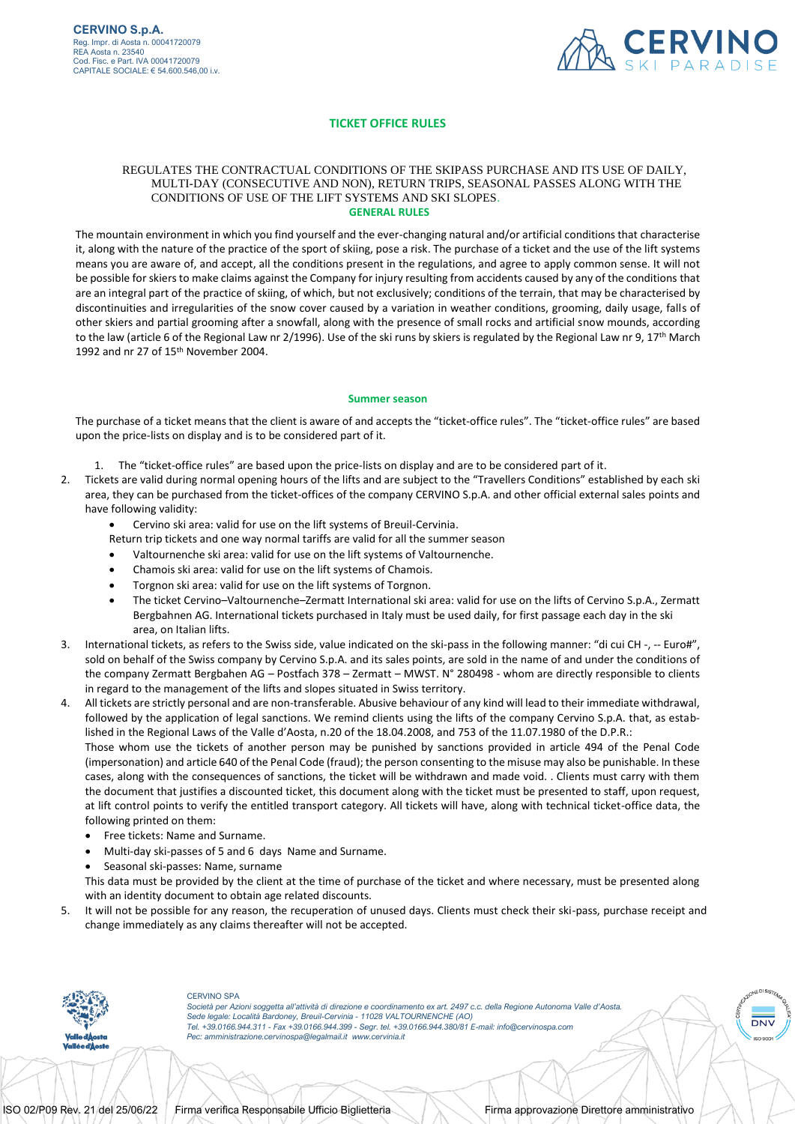

## **TICKET OFFICE RULES**

## REGULATES THE CONTRACTUAL CONDITIONS OF THE SKIPASS PURCHASE AND ITS USE OF DAILY, MULTI-DAY (CONSECUTIVE AND NON), RETURN TRIPS, SEASONAL PASSES ALONG WITH THE CONDITIONS OF USE OF THE LIFT SYSTEMS AND SKI SLOPES. **GENERAL RULES**

The mountain environment in which you find yourself and the ever-changing natural and/or artificial conditions that characterise it, along with the nature of the practice of the sport of skiing, pose a risk. The purchase of a ticket and the use of the lift systems means you are aware of, and accept, all the conditions present in the regulations, and agree to apply common sense. It will not be possible for skiers to make claims against the Company for injury resulting from accidents caused by any of the conditions that are an integral part of the practice of skiing, of which, but not exclusively; conditions of the terrain, that may be characterised by discontinuities and irregularities of the snow cover caused by a variation in weather conditions, grooming, daily usage, falls of other skiers and partial grooming after a snowfall, along with the presence of small rocks and artificial snow mounds, according to the law (article 6 of the Regional Law nr 2/1996). Use of the ski runs by skiers is regulated by the Regional Law nr 9, 17<sup>th</sup> March 1992 and nr 27 of 15<sup>th</sup> November 2004.

## **Summer season**

The purchase of a ticket means that the client is aware of and accepts the "ticket-office rules". The "ticket-office rules" are based upon the price-lists on display and is to be considered part of it.

- 1. The "ticket-office rules" are based upon the price-lists on display and are to be considered part of it.
- 2. Tickets are valid during normal opening hours of the lifts and are subject to the "Travellers Conditions" established by each ski area, they can be purchased from the ticket-offices of the company CERVINO S.p.A. and other official external sales points and have following validity:
	- Cervino ski area: valid for use on the lift systems of Breuil-Cervinia.
	- Return trip tickets and one way normal tariffs are valid for all the summer season
	- Valtournenche ski area: valid for use on the lift systems of Valtournenche.
	- Chamois ski area: valid for use on the lift systems of Chamois.
	- Torgnon ski area: valid for use on the lift systems of Torgnon.
	- The ticket Cervino–Valtournenche–Zermatt International ski area: valid for use on the lifts of Cervino S.p.A., Zermatt Bergbahnen AG. International tickets purchased in Italy must be used daily, for first passage each day in the ski area, on Italian lifts.
- 3. International tickets, as refers to the Swiss side, value indicated on the ski-pass in the following manner: "di cui CH -, -- Euro#", sold on behalf of the Swiss company by Cervino S.p.A. and its sales points, are sold in the name of and under the conditions of the company Zermatt Bergbahen AG – Postfach 378 – Zermatt – MWST. N° 280498 - whom are directly responsible to clients in regard to the management of the lifts and slopes situated in Swiss territory.

4. All tickets are strictly personal and are non-transferable. Abusive behaviour of any kind will lead to their immediate withdrawal, followed by the application of legal sanctions. We remind clients using the lifts of the company Cervino S.p.A. that, as established in the Regional Laws of the Valle d'Aosta, n.20 of the 18.04.2008, and 753 of the 11.07.1980 of the D.P.R.: Those whom use the tickets of another person may be punished by sanctions provided in article 494 of the Penal Code (impersonation) and article 640 of the Penal Code (fraud); the person consenting to the misuse may also be punishable. In these cases, along with the consequences of sanctions, the ticket will be withdrawn and made void. . Clients must carry with them the document that justifies a discounted ticket, this document along with the ticket must be presented to staff, upon request, at lift control points to verify the entitled transport category. All tickets will have, along with technical ticket-office data, the following printed on them:

- Free tickets: Name and Surname.
- Multi-day ski-passes of 5 and 6 days Name and Surname.
- Seasonal ski-passes: Name, surname

This data must be provided by the client at the time of purchase of the ticket and where necessary, must be presented along with an identity document to obtain age related discounts.

5. It will not be possible for any reason, the recuperation of unused days. Clients must check their ski-pass, purchase receipt and change immediately as any claims thereafter will not be accepted.



CERVINO SPA

*Società per Azioni soggetta all'attività di direzione e coordinamento ex art. 2497 c.c. della Regione Autonoma Valle d'Aosta. Sede legale: Località Bardoney, Breuil-Cervinia - 11028 VALTOURNENCHE (AO) Tel. +39.0166.944.311 - Fax +39.0166.944.399 - Segr. tel. +39.0166.944.380/81 E-mail: info@cervinospa.com Pec[: amministrazione.cervinospa@legalmail.it](mailto:amministrazione.cervinospa@legalmail.it) [www.cervinia.it](http://www.cervinia.it/)*

**DNV**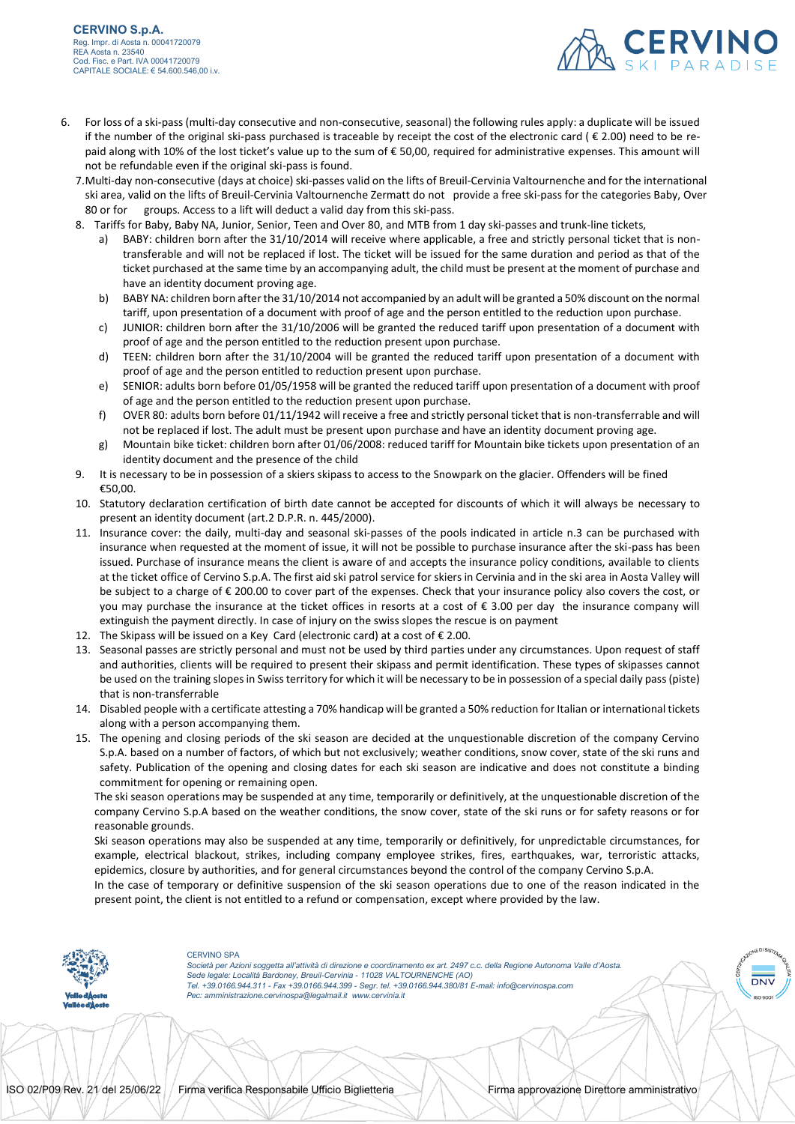

- 6. For loss of a ski-pass (multi-day consecutive and non-consecutive, seasonal) the following rules apply: a duplicate will be issued if the number of the original ski-pass purchased is traceable by receipt the cost of the electronic card ( € 2.00) need to be repaid along with 10% of the lost ticket's value up to the sum of € 50,00, required for administrative expenses. This amount will not be refundable even if the original ski-pass is found.
	- 7.Multi-day non-consecutive (days at choice) ski-passes valid on the lifts of Breuil-Cervinia Valtournenche and for the international ski area, valid on the lifts of Breuil-Cervinia Valtournenche Zermatt do not provide a free ski-pass for the categories Baby, Over 80 or for groups. Access to a lift will deduct a valid day from this ski-pass.
	- 8. Tariffs for Baby, Baby NA, Junior, Senior, Teen and Over 80, and MTB from 1 day ski-passes and trunk-line tickets,
		- a) BABY: children born after the 31/10/2014 will receive where applicable, a free and strictly personal ticket that is nontransferable and will not be replaced if lost. The ticket will be issued for the same duration and period as that of the ticket purchased at the same time by an accompanying adult, the child must be present at the moment of purchase and have an identity document proving age.
		- b) BABY NA: children born after the 31/10/2014 not accompanied by an adult will be granted a 50% discount on the normal tariff, upon presentation of a document with proof of age and the person entitled to the reduction upon purchase.
		- c) JUNIOR: children born after the 31/10/2006 will be granted the reduced tariff upon presentation of a document with proof of age and the person entitled to the reduction present upon purchase.
		- d) TEEN: children born after the 31/10/2004 will be granted the reduced tariff upon presentation of a document with proof of age and the person entitled to reduction present upon purchase.
		- e) SENIOR: adults born before 01/05/1958 will be granted the reduced tariff upon presentation of a document with proof of age and the person entitled to the reduction present upon purchase.
		- f) OVER 80: adults born before 01/11/1942 will receive a free and strictly personal ticket that is non-transferrable and will not be replaced if lost. The adult must be present upon purchase and have an identity document proving age.
		- g) Mountain bike ticket: children born after 01/06/2008: reduced tariff for Mountain bike tickets upon presentation of an identity document and the presence of the child
	- 9. It is necessary to be in possession of a skiers skipass to access to the Snowpark on the glacier. Offenders will be fined €50,00.
	- 10. Statutory declaration certification of birth date cannot be accepted for discounts of which it will always be necessary to present an identity document (art.2 D.P.R. n. 445/2000).
	- 11. Insurance cover: the daily, multi-day and seasonal ski-passes of the pools indicated in article n.3 can be purchased with insurance when requested at the moment of issue, it will not be possible to purchase insurance after the ski-pass has been issued. Purchase of insurance means the client is aware of and accepts the insurance policy conditions, available to clients at the ticket office of Cervino S.p.A. The first aid ski patrol service for skiers in Cervinia and in the ski area in Aosta Valley will be subject to a charge of € 200.00 to cover part of the expenses. Check that your insurance policy also covers the cost, or you may purchase the insurance at the ticket offices in resorts at a cost of € 3.00 per day the insurance company will extinguish the payment directly. In case of injury on the swiss slopes the rescue is on payment
	- 12. The Skipass will be issued on a Key Card (electronic card) at a cost of € 2.00.
	- 13. Seasonal passes are strictly personal and must not be used by third parties under any circumstances. Upon request of staff and authorities, clients will be required to present their skipass and permit identification. These types of skipasses cannot be used on the training slopes in Swiss territory for which it will be necessary to be in possession of a special daily pass (piste) that is non-transferrable
	- 14. Disabled people with a certificate attesting a 70% handicap will be granted a 50% reduction for Italian or international tickets along with a person accompanying them.
	- 15. The opening and closing periods of the ski season are decided at the unquestionable discretion of the company Cervino S.p.A. based on a number of factors, of which but not exclusively; weather conditions, snow cover, state of the ski runs and safety. Publication of the opening and closing dates for each ski season are indicative and does not constitute a binding commitment for opening or remaining open.

The ski season operations may be suspended at any time, temporarily or definitively, at the unquestionable discretion of the company Cervino S.p.A based on the weather conditions, the snow cover, state of the ski runs or for safety reasons or for reasonable grounds.

Ski season operations may also be suspended at any time, temporarily or definitively, for unpredictable circumstances, for example, electrical blackout, strikes, including company employee strikes, fires, earthquakes, war, terroristic attacks, epidemics, closure by authorities, and for general circumstances beyond the control of the company Cervino S.p.A.

In the case of temporary or definitive suspension of the ski season operations due to one of the reason indicated in the present point, the client is not entitled to a refund or compensation, except where provided by the law.



## CERVINO SPA

*Società per Azioni soggetta all'attività di direzione e coordinamento ex art. 2497 c.c. della Regione Autonoma Valle d'Aosta. Sede legale: Località Bardoney, Breuil-Cervinia - 11028 VALTOURNENCHE (AO) Tel. +39.0166.944.311 - Fax +39.0166.944.399 - Segr. tel. +39.0166.944.380/81 E-mail: info@cervinospa.com Pec[: amministrazione.cervinospa@legalmail.it](mailto:amministrazione.cervinospa@legalmail.it) [www.cervinia.it](http://www.cervinia.it/)*



**DNV**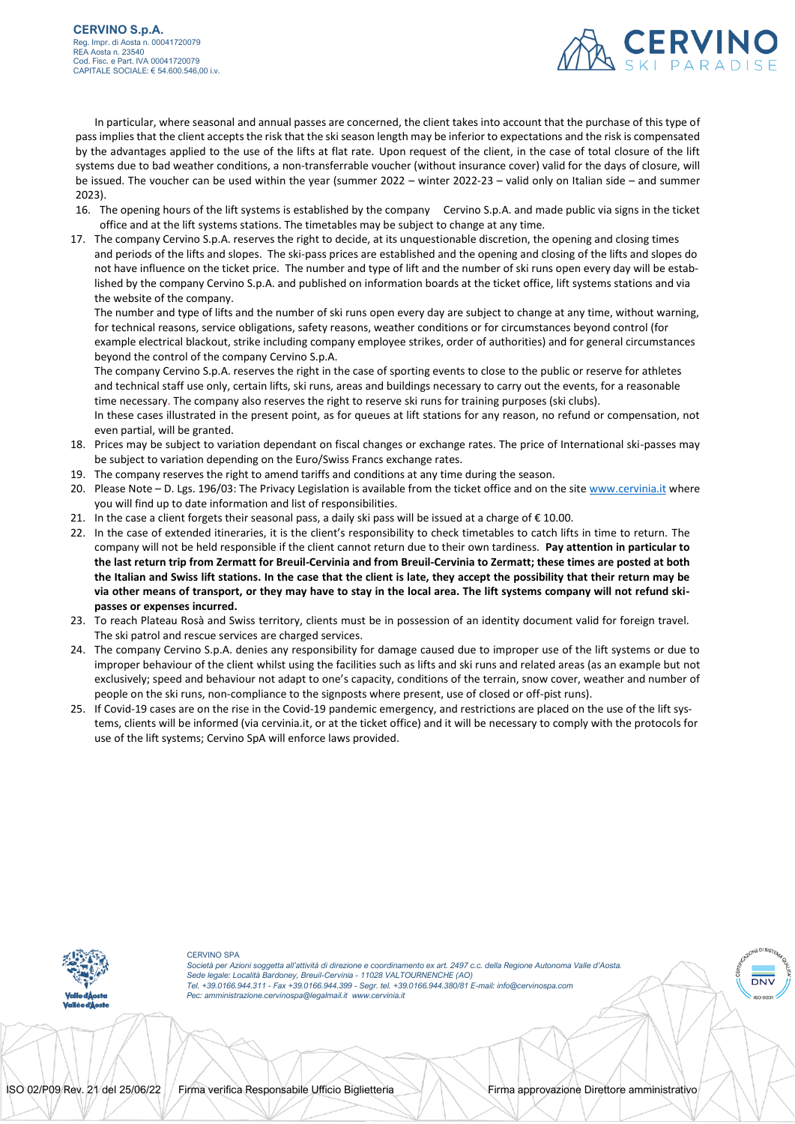

 In particular, where seasonal and annual passes are concerned, the client takes into account that the purchase of this type of pass implies that the client accepts the risk that the ski season length may be inferior to expectations and the risk is compensated by the advantages applied to the use of the lifts at flat rate. Upon request of the client, in the case of total closure of the lift systems due to bad weather conditions, a non-transferrable voucher (without insurance cover) valid for the days of closure, will be issued. The voucher can be used within the year (summer 2022 – winter 2022-23 – valid only on Italian side – and summer 2023).

- 16. The opening hours of the lift systems is established by the company Cervino S.p.A. and made public via signs in the ticket office and at the lift systems stations. The timetables may be subject to change at any time.
- 17. The company Cervino S.p.A. reserves the right to decide, at its unquestionable discretion, the opening and closing times and periods of the lifts and slopes. The ski-pass prices are established and the opening and closing of the lifts and slopes do not have influence on the ticket price. The number and type of lift and the number of ski runs open every day will be established by the company Cervino S.p.A. and published on information boards at the ticket office, lift systems stations and via the website of the company.

The number and type of lifts and the number of ski runs open every day are subject to change at any time, without warning, for technical reasons, service obligations, safety reasons, weather conditions or for circumstances beyond control (for example electrical blackout, strike including company employee strikes, order of authorities) and for general circumstances beyond the control of the company Cervino S.p.A.

The company Cervino S.p.A. reserves the right in the case of sporting events to close to the public or reserve for athletes and technical staff use only, certain lifts, ski runs, areas and buildings necessary to carry out the events, for a reasonable time necessary. The company also reserves the right to reserve ski runs for training purposes (ski clubs).

In these cases illustrated in the present point, as for queues at lift stations for any reason, no refund or compensation, not even partial, will be granted.

- 18. Prices may be subject to variation dependant on fiscal changes or exchange rates. The price of International ski-passes may be subject to variation depending on the Euro/Swiss Francs exchange rates.
- 19. The company reserves the right to amend tariffs and conditions at any time during the season.
- 20. Please Note D. Lgs. 196/03: The Privacy Legislation is available from the ticket office and on the sit[e www.cervinia.it](http://www.cervinia.it/) where you will find up to date information and list of responsibilities.
- 21. In the case a client forgets their seasonal pass, a daily ski pass will be issued at a charge of € 10.00.
- 22. In the case of extended itineraries, it is the client's responsibility to check timetables to catch lifts in time to return. The company will not be held responsible if the client cannot return due to their own tardiness. **Pay attention in particular to the last return trip from Zermatt for Breuil-Cervinia and from Breuil-Cervinia to Zermatt; these times are posted at both the Italian and Swiss lift stations. In the case that the client is late, they accept the possibility that their return may be via other means of transport, or they may have to stay in the local area. The lift systems company will not refund skipasses or expenses incurred.**
- 23. To reach Plateau Rosà and Swiss territory, clients must be in possession of an identity document valid for foreign travel. The ski patrol and rescue services are charged services.
- 24. The company Cervino S.p.A. denies any responsibility for damage caused due to improper use of the lift systems or due to improper behaviour of the client whilst using the facilities such as lifts and ski runs and related areas (as an example but not exclusively; speed and behaviour not adapt to one's capacity, conditions of the terrain, snow cover, weather and number of people on the ski runs, non-compliance to the signposts where present, use of closed or off-pist runs).
- 25. If Covid-19 cases are on the rise in the Covid-19 pandemic emergency, and restrictions are placed on the use of the lift systems, clients will be informed (via cervinia.it, or at the ticket office) and it will be necessary to comply with the protocols for use of the lift systems; Cervino SpA will enforce laws provided.



CERVINO SPA *Società per Azioni soggetta all'attività di direzione e coordinamento ex art. 2497 c.c. della Regione Autonoma Valle d'Aosta. Sede legale: Località Bardoney, Breuil-Cervinia - 11028 VALTOURNENCHE (AO) Tel. +39.0166.944.311 - Fax +39.0166.944.399 - Segr. tel. +39.0166.944.380/81 E-mail: info@cervinospa.com Pec[: amministrazione.cervinospa@legalmail.it](mailto:amministrazione.cervinospa@legalmail.it) [www.cervinia.it](http://www.cervinia.it/)*

**DNV**